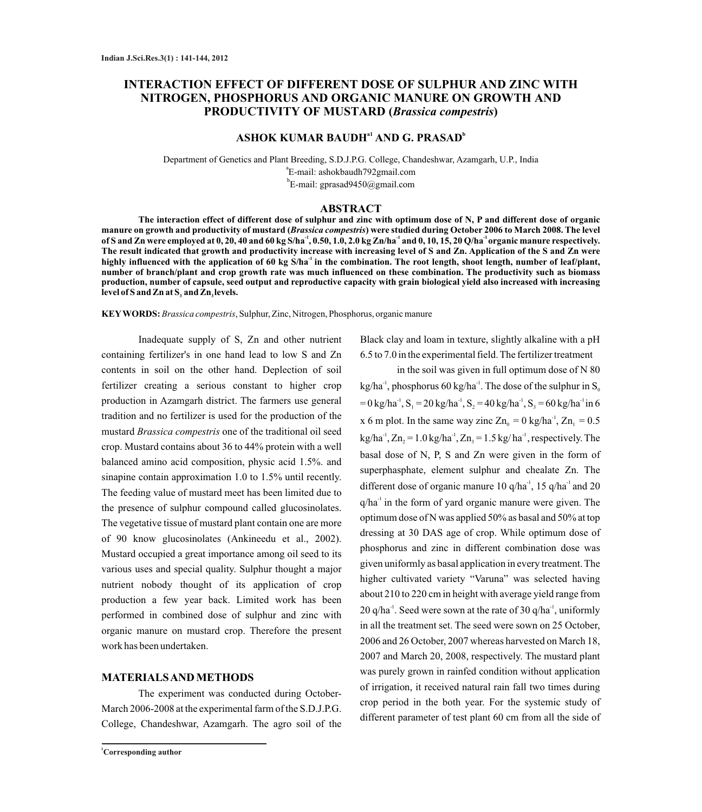# **INTERACTION EFFECT OF DIFFERENT DOSE OF SULPHUR AND ZINC WITH NITROGEN, PHOSPHORUS AND ORGANIC MANURE ON GROWTH AND PRODUCTIVITY OF MUSTARD (***Brassica compestris***)**

## $\bf ASHOK KUMAR BAUDH<sup>at</sup> AND G. PRASAD<sup>b</sup>$

Department of Genetics and Plant Breeding, S.D.J.P.G. College, Chandeshwar, Azamgarh, U.P., India a E-mail: ashokbaudh792gmail.com b E-mail: gprasad9450@gmail.com

### **ABSTRACT**

**The interaction effect of different dose of sulphur and zinc with optimum dose of N, P and different dose of organic manure on growth and productivity of mustard (***Brassica compestris***) were studied during October 2006 to March 2008. The level**  of S and Zn were employed at 0, 20, 40 and 60 kg S/ha<sup>-1</sup>, 0.50, 1.0, 2.0 kg Zn/ha<sup>-1</sup> and 0, 10, 15, 20 Q/ha<sup>-1</sup> organic manure respectively. **The result indicated that growth and productivity increase with increasing level of S and Zn. Application of the S and Zn were -1 highly influenced with the application of 60 kg S/ha in the combination. The root length, shoot length, number of leaf/plant, number of branch/plant and crop growth rate was much influenced on these combination. The productivity such as biomass production, number of capsule, seed output and reproductive capacity with grain biological yield also increased with increasing**  level of S and Zn at S<sub>3</sub> and Zn<sub>3</sub> levels.

**KEYWORDS:***Brassica compestris*, Sulphur, Zinc, Nitrogen, Phosphorus, organic manure

Inadequate supply of S, Zn and other nutrient containing fertilizer's in one hand lead to low S and Zn contents in soil on the other hand. Deplection of soil fertilizer creating a serious constant to higher crop production in Azamgarh district. The farmers use general tradition and no fertilizer is used for the production of the mustard *Brassica compestris* one of the traditional oil seed crop. Mustard contains about 36 to 44% protein with a well balanced amino acid composition, physic acid 1.5%. and sinapine contain approximation 1.0 to 1.5% until recently. The feeding value of mustard meet has been limited due to the presence of sulphur compound called glucosinolates. The vegetative tissue of mustard plant contain one are more of 90 know glucosinolates (Ankineedu et al., 2002). Mustard occupied a great importance among oil seed to its various uses and special quality. Sulphur thought a major nutrient nobody thought of its application of crop production a few year back. Limited work has been performed in combined dose of sulphur and zinc with organic manure on mustard crop. Therefore the present work has been undertaken.

### **MATERIALS AND METHODS**

The experiment was conducted during October-March 2006-2008 at the experimental farm of the S.D.J.P.G. College, Chandeshwar, Azamgarh. The agro soil of the Black clay and loam in texture, slightly alkaline with a pH 6.5 to 7.0 in the experimental field. The fertilizer treatment

in the soil was given in full optimum dose of N 80  $kg/ha^{-1}$ , phosphorus 60 kg/ha<sup>-1</sup>. The dose of the sulphur in  $S_0$  $=0 \text{ kg/ha}^{-1}$ ,  $S_1 = 20 \text{ kg/ha}^{-1}$ ,  $S_2 = 40 \text{ kg/ha}^{-1}$ ,  $S_3 = 60 \text{ kg/ha}^{-1}$  in 6 x 6 m plot. In the same way zinc  $Zn_0 = 0$  kg/ha<sup>-1</sup>,  $Zn_1 = 0.5$  $kg/ha^{-1}$ , Zn<sub>2</sub> = 1.0 kg/ha<sup>-1</sup>, Zn<sub>2</sub> = 1.5 kg/ha<sup>-1</sup>, respectively. The basal dose of N, P, S and Zn were given in the form of superphasphate, element sulphur and chealate Zn. The different dose of organic manure 10  $q/ha^{-1}$ , 15  $q/ha^{-1}$  and 20  $q/ha<sup>-1</sup>$  in the form of yard organic manure were given. The optimum dose of N was applied 50% as basal and 50% at top dressing at 30 DAS age of crop. While optimum dose of phosphorus and zinc in different combination dose was given uniformly as basal application in every treatment. The higher cultivated variety "Varuna" was selected having about 210 to 220 cm in height with average yield range from  $20$  q/ha<sup>-1</sup>. Seed were sown at the rate of  $30$  q/ha<sup>-1</sup>, uniformly in all the treatment set. The seed were sown on 25 October, 2006 and 26 October, 2007 whereas harvested on March 18, 2007 and March 20, 2008, respectively. The mustard plant was purely grown in rainfed condition without application of irrigation, it received natural rain fall two times during crop period in the both year. For the systemic study of different parameter of test plant 60 cm from all the side of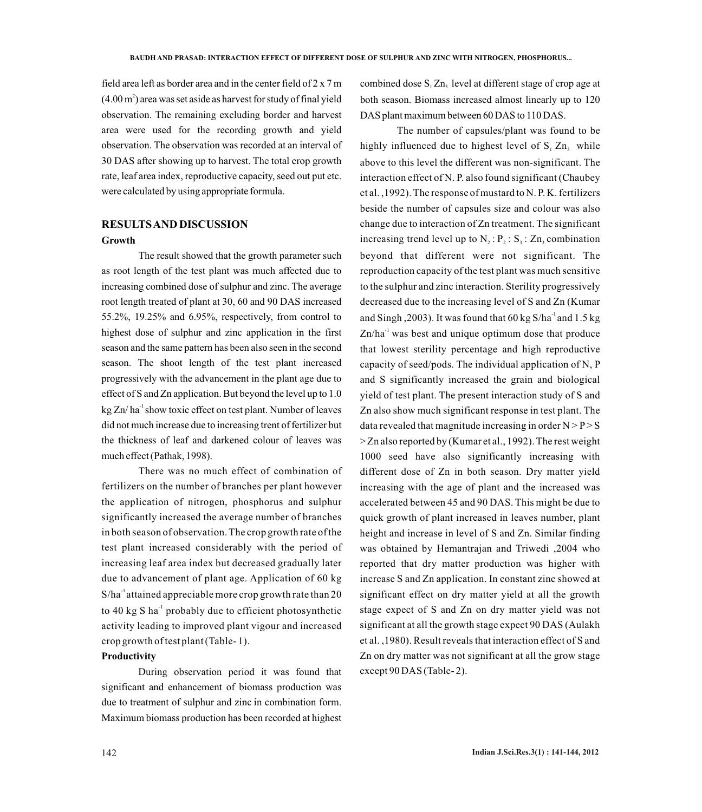field area left as border area and in the center field of 2 x 7 m  $(4.00 \,\mathrm{m}^2)$  area was set aside as harvest for study of final yield observation. The remaining excluding border and harvest area were used for the recording growth and yield observation. The observation was recorded at an interval of 30 DAS after showing up to harvest. The total crop growth rate, leaf area index, reproductive capacity, seed out put etc. were calculated by using appropriate formula.

# **RESULTS AND DISCUSSION**

#### **Growth**

The result showed that the growth parameter such as root length of the test plant was much affected due to increasing combined dose of sulphur and zinc. The average root length treated of plant at 30, 60 and 90 DAS increased 55.2%, 19.25% and 6.95%, respectively, from control to highest dose of sulphur and zinc application in the first season and the same pattern has been also seen in the second season. The shoot length of the test plant increased progressively with the advancement in the plant age due to effect of S and Zn application. But beyond the level up to 1.0  $kg Zn/ha^{-1}$ show toxic effect on test plant. Number of leaves did not much increase due to increasing trent of fertilizer but the thickness of leaf and darkened colour of leaves was much effect (Pathak, 1998).

There was no much effect of combination of fertilizers on the number of branches per plant however the application of nitrogen, phosphorus and sulphur significantly increased the average number of branches in both season of observation. The crop growth rate of the test plant increased considerably with the period of increasing leaf area index but decreased gradually later due to advancement of plant age. Application of 60 kg  $S/ha^{-1}$  attained appreciable more crop growth rate than 20 to 40 kg S ha $^{-1}$  probably due to efficient photosynthetic activity leading to improved plant vigour and increased crop growth of test plant (Table- 1).

## **Productivity**

During observation period it was found that significant and enhancement of biomass production was due to treatment of sulphur and zinc in combination form. Maximum biomass production has been recorded at highest

combined dose  $S<sub>1</sub>Zn<sub>3</sub>$  level at different stage of crop age at both season. Biomass increased almost linearly up to 120 DAS plant maximum between 60 DAS to 110 DAS.

The number of capsules/plant was found to be highly influenced due to highest level of  $S<sub>1</sub> Zn$ , while above to this level the different was non-significant. The interaction effect of N. P. also found significant (Chaubey et al. ,1992). The response of mustard to N. P. K. fertilizers beside the number of capsules size and colour was also change due to interaction of Zn treatment. The significant increasing trend level up to  $N_2$ :  $P_2$ :  $S_3$ :  $Zn_3$  combination beyond that different were not significant. The reproduction capacity of the test plant was much sensitive to the sulphur and zinc interaction. Sterility progressively decreased due to the increasing level of S and Zn (Kumar and Singh, 2003). It was found that 60 kg S/ha<sup>-1</sup> and 1.5 kg  $\text{Zn/ha}^{-1}$  was best and unique optimum dose that produce that lowest sterility percentage and high reproductive capacity of seed/pods. The individual application of N, P and S significantly increased the grain and biological yield of test plant. The present interaction study of S and Zn also show much significant response in test plant. The data revealed that magnitude increasing in order  $N > P > S$ > Zn also reported by (Kumar et al., 1992). The rest weight 1000 seed have also significantly increasing with different dose of Zn in both season. Dry matter yield increasing with the age of plant and the increased was accelerated between 45 and 90 DAS. This might be due to quick growth of plant increased in leaves number, plant height and increase in level of S and Zn. Similar finding was obtained by Hemantrajan and Triwedi ,2004 who reported that dry matter production was higher with increase S and Zn application. In constant zinc showed at significant effect on dry matter yield at all the growth stage expect of S and Zn on dry matter yield was not significant at all the growth stage expect 90 DAS (Aulakh et al. ,1980). Result reveals that interaction effect of S and Zn on dry matter was not significant at all the grow stage except 90 DAS (Table-2).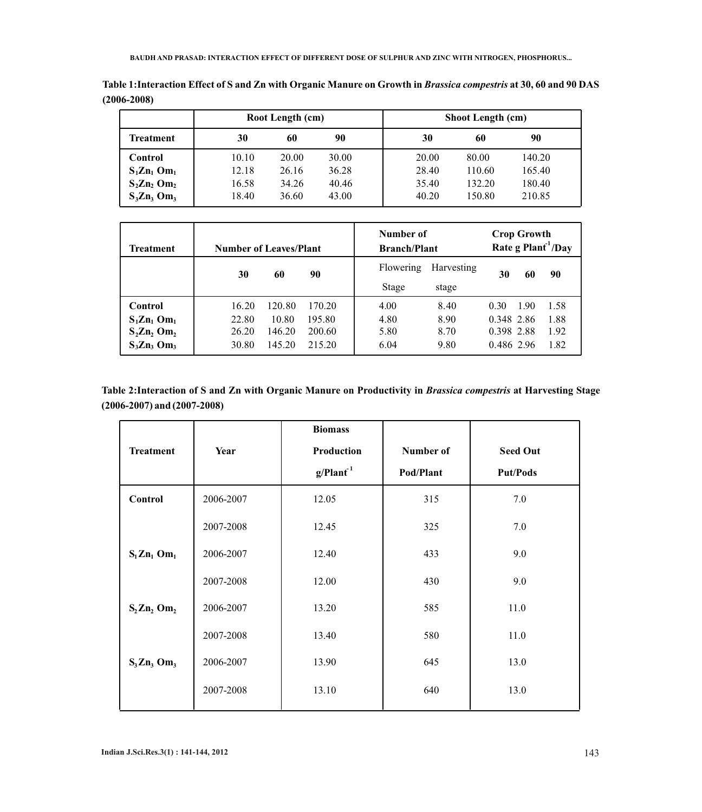|                             | Root Length (cm) |       |       | <b>Shoot Length (cm)</b> |        |        |  |
|-----------------------------|------------------|-------|-------|--------------------------|--------|--------|--|
| Treatment                   | 30               | 60    | 90    | 30                       | 60     | 90     |  |
| <b>Control</b>              | 10.10            | 20.00 | 30.00 | 20.00                    | 80.00  | 140.20 |  |
| $S_1 Z n_1$ Om <sub>1</sub> | 12.18            | 26.16 | 36.28 | 28.40                    | 110.60 | 165.40 |  |
| $S_2Zn_2$ Om <sub>2</sub>   | 16.58            | 34.26 | 40.46 | 35.40                    | 132.20 | 180.40 |  |
| $S_3Zn_3$ Om <sub>3</sub>   | 18.40            | 36.60 | 43.00 | 40.20                    | 150.80 | 210.85 |  |

**Table 1:Interaction Effect of S and Zn with Organic Manure on Growth in** *Brassica compestris* **at 30, 60 and 90 DAS (2006-2008)**

| Treatment                   | <b>Number of Leaves/Plant</b> |        | Number of<br><b>Branch/Plant</b> |           |            | <b>Crop Growth</b><br>Rate g $Plant1/Day$ |      |      |
|-----------------------------|-------------------------------|--------|----------------------------------|-----------|------------|-------------------------------------------|------|------|
|                             | 30                            | 60     | 90                               | Flowering | Harvesting | 30                                        | 60   | 90   |
|                             |                               |        |                                  | Stage     | stage      |                                           |      |      |
| Control                     | 16.20                         | 120.80 | 170.20                           | 4.00      | 8.40       | 0.30                                      | 1.90 | 1.58 |
| $S_1 Z n_1$ Om <sub>1</sub> | 22.80                         | 10.80  | 195.80                           | 4.80      | 8.90       | 0.348 2.86                                |      | 1.88 |
| $S_2 Zn_2$ Om <sub>2</sub>  | 26.20                         | 146.20 | 200.60                           | 5.80      | 8.70       | 0.398 2.88                                |      | 1.92 |
| $S_3Zn_3$ Om <sub>3</sub>   | 30.80                         | 145.20 | 215.20                           | 6.04      | 9.80       | 0.486 2.96                                |      | 1.82 |

**Table 2:Interaction of S and Zn with Organic Manure on Productivity in** *Brassica compestris* **at Harvesting Stage (2006-2007) and (2007-2008)**

| <b>Treatment</b>           | Year      | <b>Biomass</b><br>Production<br>g/Plant <sup>1</sup> | Number of<br>Pod/Plant | <b>Seed Out</b><br><b>Put/Pods</b> |
|----------------------------|-----------|------------------------------------------------------|------------------------|------------------------------------|
| Control                    | 2006-2007 | 12.05                                                | 315                    | 7.0                                |
|                            | 2007-2008 | 12.45                                                | 325                    | 7.0                                |
| $S_1 Zn_1$ Om <sub>1</sub> | 2006-2007 | 12.40                                                | 433                    | 9.0                                |
|                            | 2007-2008 | 12.00                                                | 430                    | 9.0                                |
| $S_2 Zn_2$ Om <sub>2</sub> | 2006-2007 | 13.20                                                | 585                    | 11.0                               |
|                            | 2007-2008 | 13.40                                                | 580                    | 11.0                               |
| $S_3 Zn_3$ Om <sub>3</sub> | 2006-2007 | 13.90                                                | 645                    | 13.0                               |
|                            | 2007-2008 | 13.10                                                | 640                    | 13.0                               |